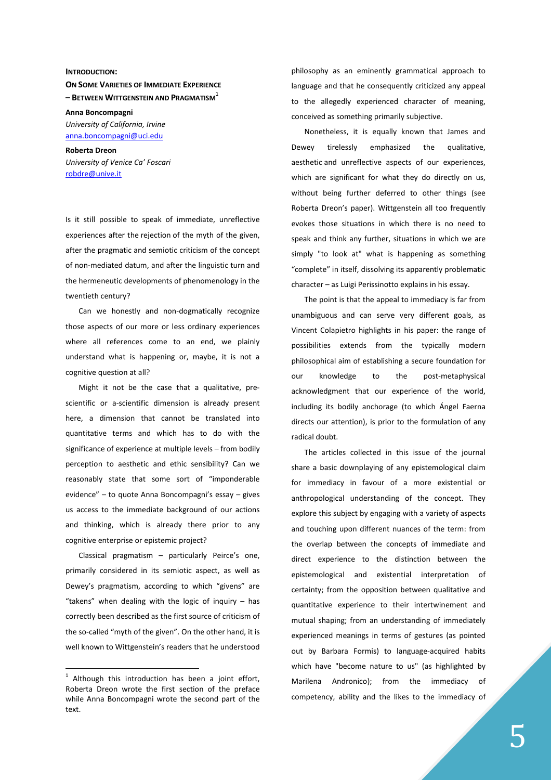## **INTRODUCTION:**

**ON SOME VARIETIES OF IMMEDIATE EXPERIENCE – BETWEEN WITTGENSTEIN AND PRAGMATISM<sup>1</sup>**

**Anna Boncompagni** *University of California, Irvine* anna.boncompagni@uci.edu

**Roberta Dreon**  *University of Venice Ca' Foscari*  robdre@unive.it

Is it still possible to speak of immediate, unreflective experiences after the rejection of the myth of the given, after the pragmatic and semiotic criticism of the concept of non-mediated datum, and after the linguistic turn and the hermeneutic developments of phenomenology in the twentieth century?

Can we honestly and non-dogmatically recognize those aspects of our more or less ordinary experiences where all references come to an end, we plainly understand what is happening or, maybe, it is not a cognitive question at all?

Might it not be the case that a qualitative, prescientific or a-scientific dimension is already present here, a dimension that cannot be translated into quantitative terms and which has to do with the significance of experience at multiple levels – from bodily perception to aesthetic and ethic sensibility? Can we reasonably state that some sort of "imponderable evidence" – to quote Anna Boncompagni's essay – gives us access to the immediate background of our actions and thinking, which is already there prior to any cognitive enterprise or epistemic project?

Classical pragmatism – particularly Peirce's one, primarily considered in its semiotic aspect, as well as Dewey's pragmatism, according to which "givens" are "takens" when dealing with the logic of inquiry – has correctly been described as the first source of criticism of the so-called "myth of the given". On the other hand, it is well known to Wittgenstein's readers that he understood

 $1$  Although this introduction has been a joint effort, Roberta Dreon wrote the first section of the preface while Anna Boncompagni wrote the second part of the text.

 $\overline{a}$ 

philosophy as an eminently grammatical approach to language and that he consequently criticized any appeal to the allegedly experienced character of meaning, conceived as something primarily subjective.

Nonetheless, it is equally known that James and Dewey tirelessly emphasized the qualitative, aesthetic and unreflective aspects of our experiences, which are significant for what they do directly on us, without being further deferred to other things (see Roberta Dreon's paper). Wittgenstein all too frequently evokes those situations in which there is no need to speak and think any further, situations in which we are simply "to look at" what is happening as something "complete" in itself, dissolving its apparently problematic character – as Luigi Perissinotto explains in his essay.

The point is that the appeal to immediacy is far from unambiguous and can serve very different goals, as Vincent Colapietro highlights in his paper: the range of possibilities extends from the typically modern philosophical aim of establishing a secure foundation for our knowledge to the post-metaphysical acknowledgment that our experience of the world, including its bodily anchorage (to which Ángel Faerna directs our attention), is prior to the formulation of any radical doubt.

The articles collected in this issue of the journal share a basic downplaying of any epistemological claim for immediacy in favour of a more existential or anthropological understanding of the concept. They explore this subject by engaging with a variety of aspects and touching upon different nuances of the term: from the overlap between the concepts of immediate and direct experience to the distinction between the epistemological and existential interpretation of certainty; from the opposition between qualitative and quantitative experience to their intertwinement and mutual shaping; from an understanding of immediately experienced meanings in terms of gestures (as pointed out by Barbara Formis) to language-acquired habits which have "become nature to us" (as highlighted by Marilena Andronico); from the immediacy of competency, ability and the likes to the immediacy of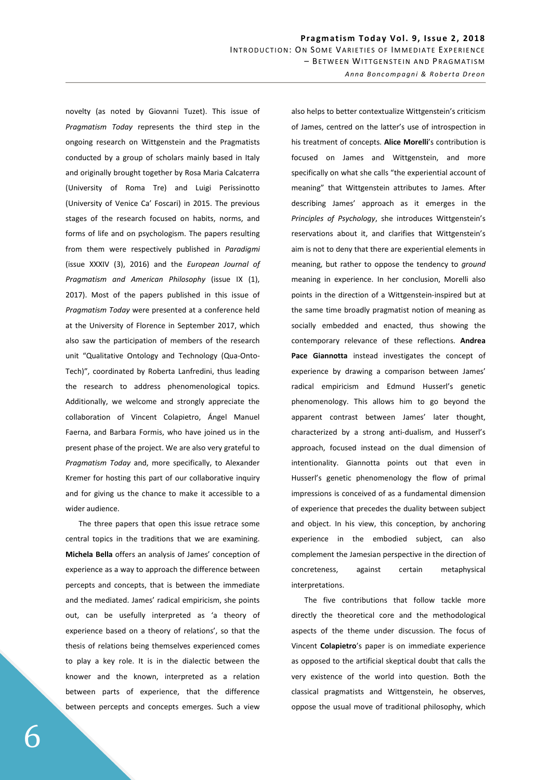novelty (as noted by Giovanni Tuzet). This issue of *Pragmatism Today* represents the third step in the ongoing research on Wittgenstein and the Pragmatists conducted by a group of scholars mainly based in Italy and originally brought together by Rosa Maria Calcaterra (University of Roma Tre) and Luigi Perissinotto (University of Venice Ca' Foscari) in 2015. The previous stages of the research focused on habits, norms, and forms of life and on psychologism. The papers resulting from them were respectively published in *Paradigmi* (issue XXXIV (3), 2016) and the *European Journal of Pragmatism and American Philosophy* (issue IX (1), 2017). Most of the papers published in this issue of *Pragmatism Today* were presented at a conference held at the University of Florence in September 2017, which also saw the participation of members of the research unit "Qualitative Ontology and Technology (Qua-Onto-Tech)", coordinated by Roberta Lanfredini, thus leading the research to address phenomenological topics. Additionally, we welcome and strongly appreciate the collaboration of Vincent Colapietro, Ángel Manuel Faerna, and Barbara Formis, who have joined us in the present phase of the project. We are also very grateful to *Pragmatism Today* and, more specifically, to Alexander Kremer for hosting this part of our collaborative inquiry and for giving us the chance to make it accessible to a wider audience.

The three papers that open this issue retrace some central topics in the traditions that we are examining. **Michela Bella** offers an analysis of James' conception of experience as a way to approach the difference between percepts and concepts, that is between the immediate and the mediated. James' radical empiricism, she points out, can be usefully interpreted as 'a theory of experience based on a theory of relations', so that the thesis of relations being themselves experienced comes to play a key role. It is in the dialectic between the knower and the known, interpreted as a relation between parts of experience, that the difference between percepts and concepts emerges. Such a view

also helps to better contextualize Wittgenstein's criticism of James, centred on the latter's use of introspection in his treatment of concepts. **Alice Morelli**'s contribution is focused on James and Wittgenstein, and more specifically on what she calls "the experiential account of meaning" that Wittgenstein attributes to James. After describing James' approach as it emerges in the *Principles of Psychology*, she introduces Wittgenstein's reservations about it, and clarifies that Wittgenstein's aim is not to deny that there are experiential elements in meaning, but rather to oppose the tendency to *ground* meaning in experience. In her conclusion, Morelli also points in the direction of a Wittgenstein-inspired but at the same time broadly pragmatist notion of meaning as socially embedded and enacted, thus showing the contemporary relevance of these reflections. **Andrea Pace Giannotta** instead investigates the concept of experience by drawing a comparison between James' radical empiricism and Edmund Husserl's genetic phenomenology. This allows him to go beyond the apparent contrast between James' later thought, characterized by a strong anti-dualism, and Husserl's approach, focused instead on the dual dimension of intentionality. Giannotta points out that even in Husserl's genetic phenomenology the flow of primal impressions is conceived of as a fundamental dimension of experience that precedes the duality between subject and object. In his view, this conception, by anchoring experience in the embodied subject, can also complement the Jamesian perspective in the direction of concreteness, against certain metaphysical interpretations.

The five contributions that follow tackle more directly the theoretical core and the methodological aspects of the theme under discussion. The focus of Vincent **Colapietro**'s paper is on immediate experience as opposed to the artificial skeptical doubt that calls the very existence of the world into question. Both the classical pragmatists and Wittgenstein, he observes, oppose the usual move of traditional philosophy, which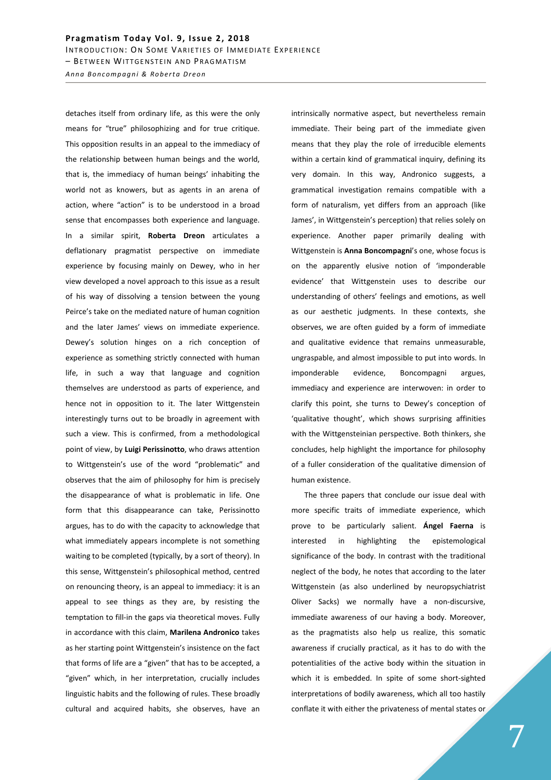*A n n a B o n c o m p a g n i & R o b e r t a D r e o n*

detaches itself from ordinary life, as this were the only means for "true" philosophizing and for true critique. This opposition results in an appeal to the immediacy of the relationship between human beings and the world, that is, the immediacy of human beings' inhabiting the world not as knowers, but as agents in an arena of action, where "action" is to be understood in a broad sense that encompasses both experience and language. In a similar spirit, **Roberta Dreon** articulates a deflationary pragmatist perspective on immediate experience by focusing mainly on Dewey, who in her view developed a novel approach to this issue as a result of his way of dissolving a tension between the young Peirce's take on the mediated nature of human cognition and the later James' views on immediate experience. Dewey's solution hinges on a rich conception of experience as something strictly connected with human life, in such a way that language and cognition themselves are understood as parts of experience, and hence not in opposition to it. The later Wittgenstein interestingly turns out to be broadly in agreement with such a view. This is confirmed, from a methodological point of view, by **Luigi Perissinotto**, who draws attention to Wittgenstein's use of the word "problematic" and observes that the aim of philosophy for him is precisely the disappearance of what is problematic in life. One form that this disappearance can take, Perissinotto argues, has to do with the capacity to acknowledge that what immediately appears incomplete is not something waiting to be completed (typically, by a sort of theory). In this sense, Wittgenstein's philosophical method, centred on renouncing theory, is an appeal to immediacy: it is an appeal to see things as they are, by resisting the temptation to fill-in the gaps via theoretical moves. Fully in accordance with this claim, **Marilena Andronico** takes as her starting point Wittgenstein's insistence on the fact that forms of life are a "given" that has to be accepted, a "given" which, in her interpretation, crucially includes linguistic habits and the following of rules. These broadly cultural and acquired habits, she observes, have an

intrinsically normative aspect, but nevertheless remain immediate. Their being part of the immediate given means that they play the role of irreducible elements within a certain kind of grammatical inquiry, defining its very domain. In this way, Andronico suggests, a grammatical investigation remains compatible with a form of naturalism, yet differs from an approach (like James', in Wittgenstein's perception) that relies solely on experience. Another paper primarily dealing with Wittgenstein is **Anna Boncompagni**'s one, whose focus is on the apparently elusive notion of 'imponderable evidence' that Wittgenstein uses to describe our understanding of others' feelings and emotions, as well as our aesthetic judgments. In these contexts, she observes, we are often guided by a form of immediate and qualitative evidence that remains unmeasurable, ungraspable, and almost impossible to put into words. In imponderable evidence, Boncompagni argues, immediacy and experience are interwoven: in order to clarify this point, she turns to Dewey's conception of 'qualitative thought', which shows surprising affinities with the Wittgensteinian perspective. Both thinkers, she concludes, help highlight the importance for philosophy of a fuller consideration of the qualitative dimension of human existence.

The three papers that conclude our issue deal with more specific traits of immediate experience, which prove to be particularly salient. **Ángel Faerna** is interested in highlighting the epistemological significance of the body. In contrast with the traditional neglect of the body, he notes that according to the later Wittgenstein (as also underlined by neuropsychiatrist Oliver Sacks) we normally have a non-discursive, immediate awareness of our having a body. Moreover, as the pragmatists also help us realize, this somatic awareness if crucially practical, as it has to do with the potentialities of the active body within the situation in which it is embedded. In spite of some short-sighted interpretations of bodily awareness, which all too hastily conflate it with either the privateness of mental states or